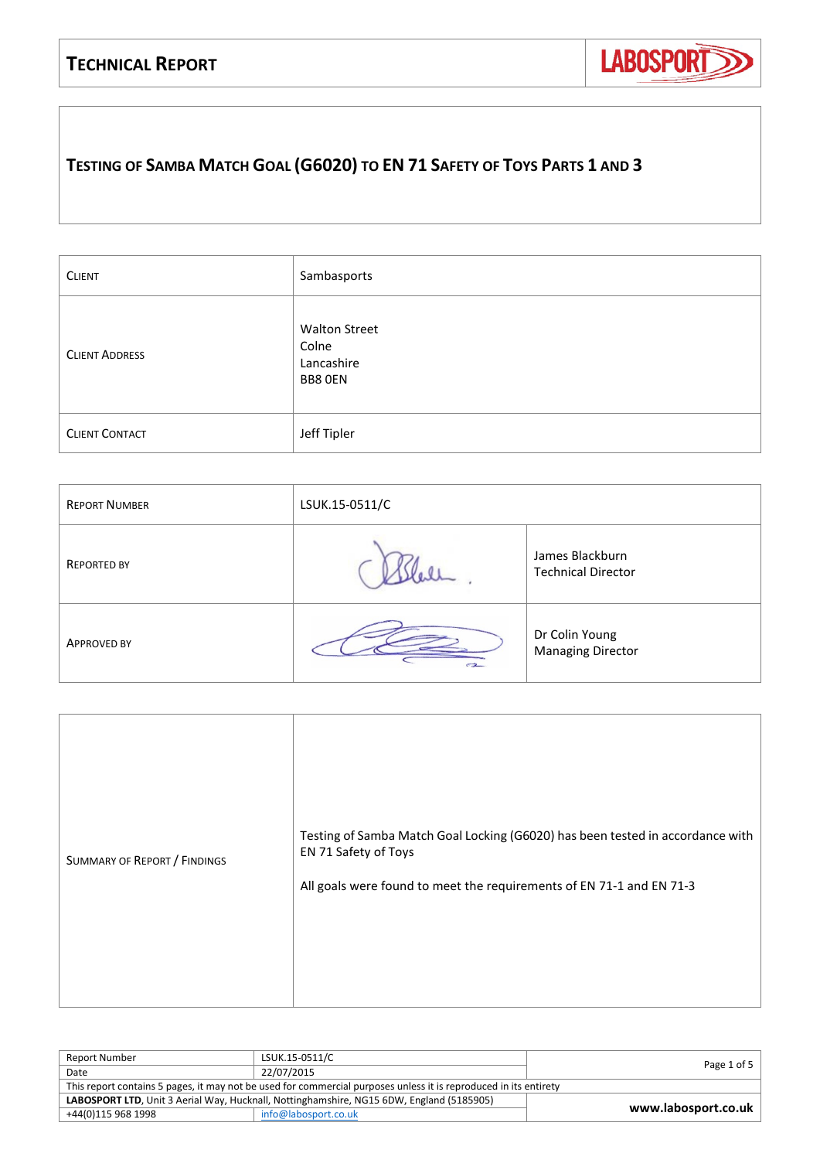## **TECHNICAL REPORT**



## **TESTING OF SAMBA MATCH GOAL (G6020) TO EN 71 SAFETY OF TOYS PARTS 1 AND 3**

| <b>CLIENT</b>         | Sambasports                                            |
|-----------------------|--------------------------------------------------------|
| <b>CLIENT ADDRESS</b> | <b>Walton Street</b><br>Colne<br>Lancashire<br>BB8 OEN |
| <b>CLIENT CONTACT</b> | Jeff Tipler                                            |

| <b>REPORT NUMBER</b> | LSUK.15-0511/C |                                              |  |  |  |  |
|----------------------|----------------|----------------------------------------------|--|--|--|--|
| <b>REPORTED BY</b>   |                | James Blackburn<br><b>Technical Director</b> |  |  |  |  |
| <b>APPROVED BY</b>   | $-2$           | Dr Colin Young<br><b>Managing Director</b>   |  |  |  |  |

| Report Number                                                                                                    | LSUK.15-0511/C       | Page 1 of 5 |  |  |  |
|------------------------------------------------------------------------------------------------------------------|----------------------|-------------|--|--|--|
| Date                                                                                                             | 22/07/2015           |             |  |  |  |
| This report contains 5 pages, it may not be used for commercial purposes unless it is reproduced in its entirety |                      |             |  |  |  |
| LABOSPORT LTD, Unit 3 Aerial Way, Hucknall, Nottinghamshire, NG15 6DW, England (5185905)<br>www.labosport.co.uk  |                      |             |  |  |  |
| +44(0)115 968 1998                                                                                               | info@labosport.co.uk |             |  |  |  |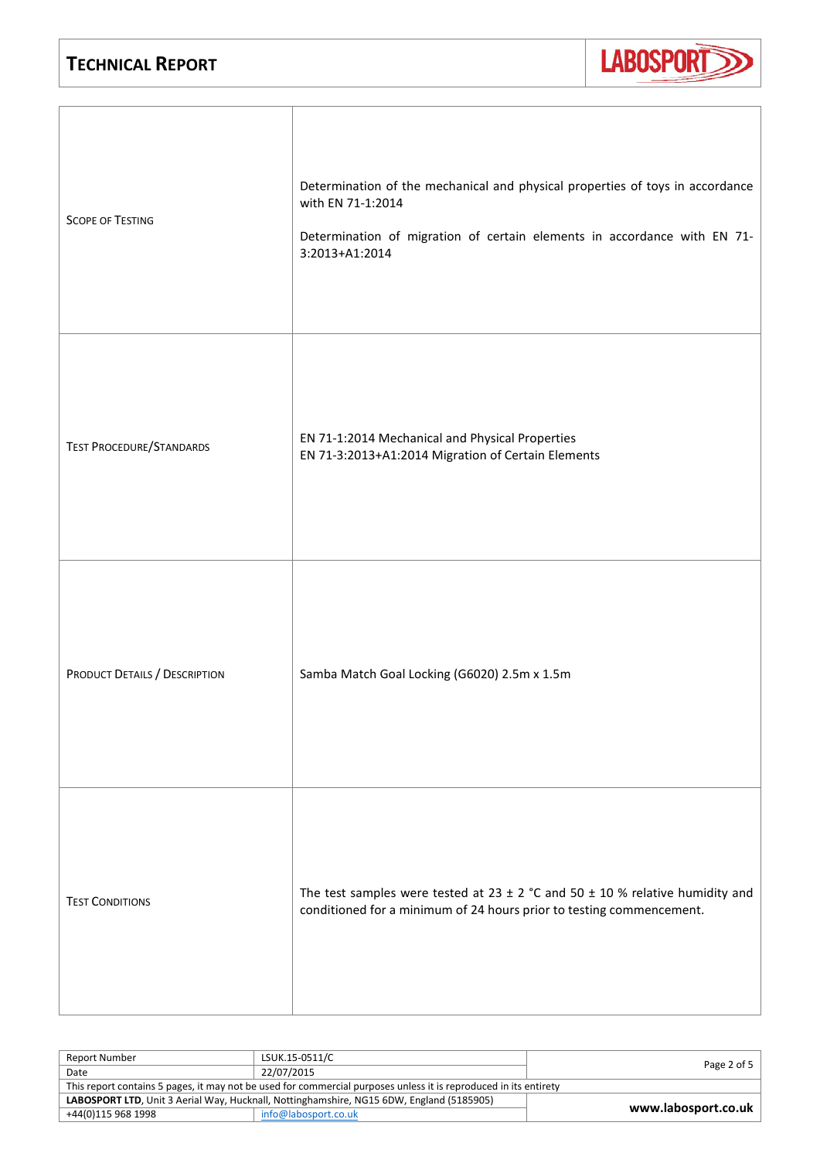

| <b>SCOPE OF TESTING</b>         | Determination of the mechanical and physical properties of toys in accordance<br>with EN 71-1:2014<br>Determination of migration of certain elements in accordance with EN 71-<br>3:2013+A1:2014 |
|---------------------------------|--------------------------------------------------------------------------------------------------------------------------------------------------------------------------------------------------|
| <b>TEST PROCEDURE/STANDARDS</b> | EN 71-1:2014 Mechanical and Physical Properties<br>EN 71-3:2013+A1:2014 Migration of Certain Elements                                                                                            |
| PRODUCT DETAILS / DESCRIPTION   | Samba Match Goal Locking (G6020) 2.5m x 1.5m                                                                                                                                                     |
| <b>TEST CONDITIONS</b>          | The test samples were tested at 23 $\pm$ 2 °C and 50 $\pm$ 10 % relative humidity and<br>conditioned for a minimum of 24 hours prior to testing commencement.                                    |

| Report Number                                                                                                    | LSUK.15-0511/C       | Page 2 of 5 |  |  |  |
|------------------------------------------------------------------------------------------------------------------|----------------------|-------------|--|--|--|
| Date                                                                                                             | 22/07/2015           |             |  |  |  |
| This report contains 5 pages, it may not be used for commercial purposes unless it is reproduced in its entirety |                      |             |  |  |  |
| LABOSPORT LTD, Unit 3 Aerial Way, Hucknall, Nottinghamshire, NG15 6DW, England (5185905)<br>www.labosport.co.uk  |                      |             |  |  |  |
| +44(0)115 968 1998                                                                                               | info@labosport.co.uk |             |  |  |  |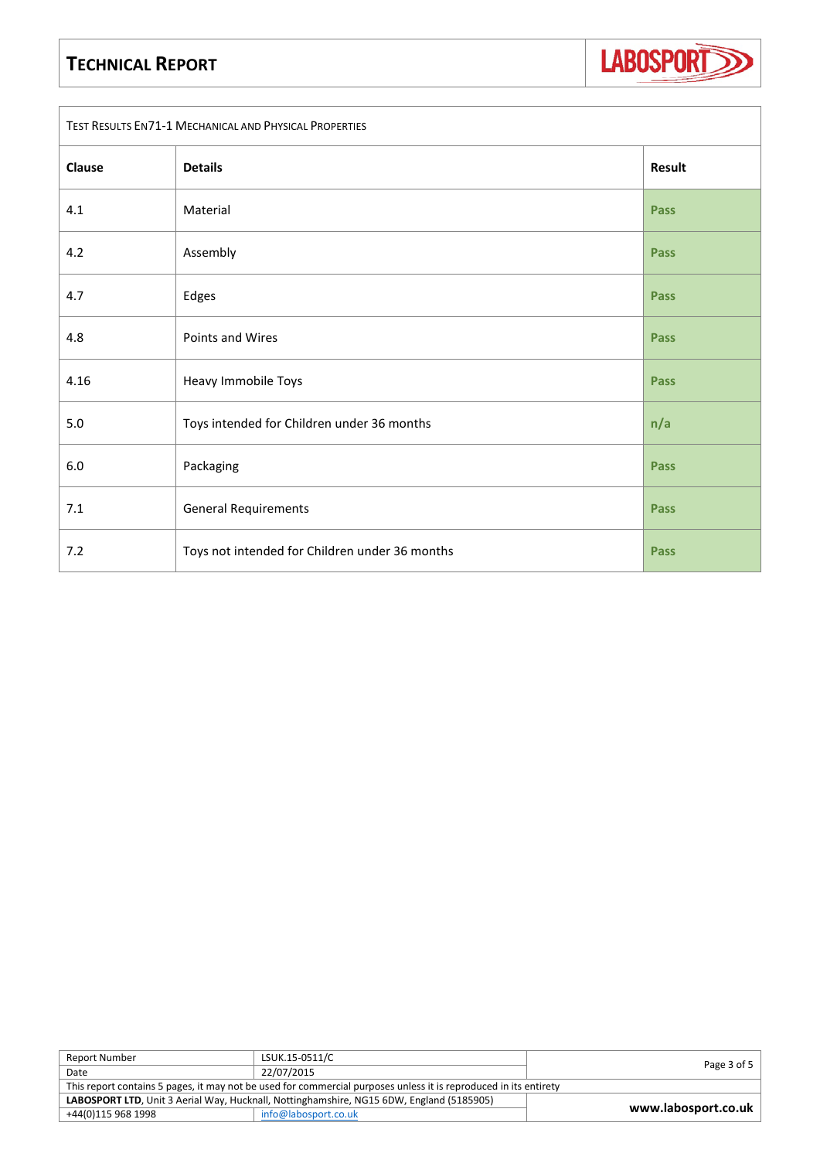## **TECHNICAL REPORT**



| TEST RESULTS EN71-1 MECHANICAL AND PHYSICAL PROPERTIES |                                                |             |  |  |  |
|--------------------------------------------------------|------------------------------------------------|-------------|--|--|--|
| Clause                                                 | <b>Details</b>                                 | Result      |  |  |  |
| 4.1                                                    | Material                                       | <b>Pass</b> |  |  |  |
| 4.2                                                    | Assembly                                       | Pass        |  |  |  |
| 4.7                                                    | Edges                                          | <b>Pass</b> |  |  |  |
| 4.8                                                    | Points and Wires                               | Pass        |  |  |  |
| 4.16                                                   | Heavy Immobile Toys                            | <b>Pass</b> |  |  |  |
| 5.0                                                    | Toys intended for Children under 36 months     | n/a         |  |  |  |
| $6.0\,$                                                | Packaging                                      | <b>Pass</b> |  |  |  |
| $7.1\,$                                                | <b>General Requirements</b>                    | <b>Pass</b> |  |  |  |
| 7.2                                                    | Toys not intended for Children under 36 months | <b>Pass</b> |  |  |  |

| <b>Report Number</b>                                                                                             | LSUK.15-0511/C       | Page 3 of 5         |  |  |  |
|------------------------------------------------------------------------------------------------------------------|----------------------|---------------------|--|--|--|
| Date                                                                                                             | 22/07/2015           |                     |  |  |  |
| This report contains 5 pages, it may not be used for commercial purposes unless it is reproduced in its entirety |                      |                     |  |  |  |
| LABOSPORT LTD, Unit 3 Aerial Way, Hucknall, Nottinghamshire, NG15 6DW, England (5185905)                         |                      |                     |  |  |  |
| +44(0)115 968 1998                                                                                               | info@labosport.co.uk | www.labosport.co.uk |  |  |  |
|                                                                                                                  |                      |                     |  |  |  |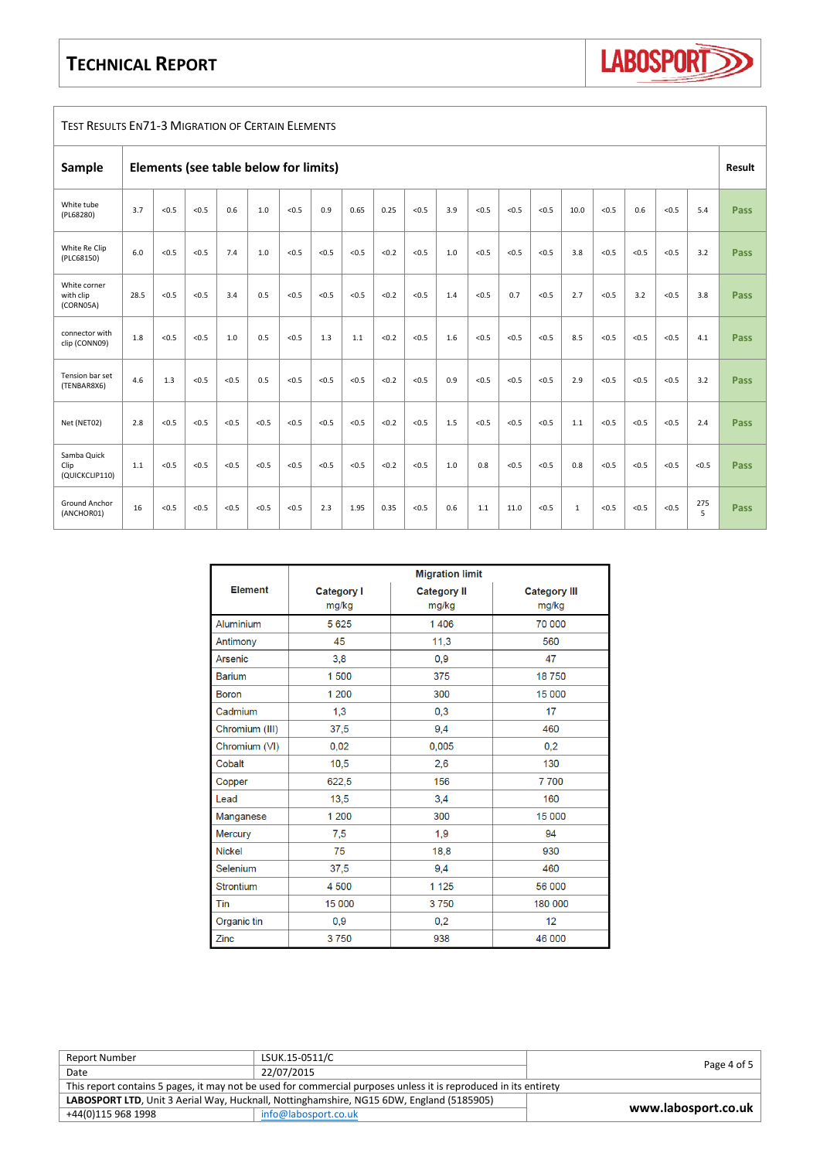## **TECHNICAL REPORT**



| <b>TEST RESULTS EN71-3 MIGRATION OF CERTAIN ELEMENTS</b> |                                       |       |       |       |       |       |       |       |       |       |        |       |       |       |              |       |       |       |          |             |
|----------------------------------------------------------|---------------------------------------|-------|-------|-------|-------|-------|-------|-------|-------|-------|--------|-------|-------|-------|--------------|-------|-------|-------|----------|-------------|
| Sample                                                   | Elements (see table below for limits) |       |       |       |       |       |       |       |       |       | Result |       |       |       |              |       |       |       |          |             |
| White tube<br>(PL68280)                                  | 3.7                                   | < 0.5 | < 0.5 | 0.6   | 1.0   | < 0.5 | 0.9   | 0.65  | 0.25  | < 0.5 | 3.9    | < 0.5 | < 0.5 | < 0.5 | 10.0         | < 0.5 | 0.6   | < 0.5 | 5.4      | <b>Pass</b> |
| White Re Clip<br>(PLC68150)                              | 6.0                                   | < 0.5 | < 0.5 | 7.4   | 1.0   | < 0.5 | < 0.5 | < 0.5 | < 0.2 | < 0.5 | 1.0    | < 0.5 | < 0.5 | < 0.5 | 3.8          | < 0.5 | < 0.5 | < 0.5 | 3.2      | Pass        |
| White corner<br>with clip<br>(CORN05A)                   | 28.5                                  | < 0.5 | < 0.5 | 3.4   | 0.5   | < 0.5 | < 0.5 | < 0.5 | < 0.2 | < 0.5 | 1.4    | < 0.5 | 0.7   | < 0.5 | 2.7          | < 0.5 | 3.2   | < 0.5 | 3.8      | Pass        |
| connector with<br>clip (CONN09)                          | 1.8                                   | < 0.5 | < 0.5 | 1.0   | 0.5   | < 0.5 | 1.3   | 1.1   | < 0.2 | < 0.5 | 1.6    | < 0.5 | < 0.5 | < 0.5 | 8.5          | < 0.5 | < 0.5 | < 0.5 | 4.1      | Pass        |
| Tension bar set<br>(TENBAR8X6)                           | 4.6                                   | 1.3   | < 0.5 | < 0.5 | 0.5   | < 0.5 | < 0.5 | < 0.5 | < 0.2 | < 0.5 | 0.9    | < 0.5 | < 0.5 | < 0.5 | 2.9          | < 0.5 | < 0.5 | < 0.5 | 3.2      | Pass        |
| Net (NET02)                                              | 2.8                                   | < 0.5 | < 0.5 | < 0.5 | < 0.5 | < 0.5 | < 0.5 | < 0.5 | < 0.2 | < 0.5 | 1.5    | < 0.5 | < 0.5 | < 0.5 | 1.1          | < 0.5 | < 0.5 | < 0.5 | 2.4      | Pass        |
| Samba Quick<br>Clip<br>(QUICKCLIP110)                    | 1.1                                   | < 0.5 | < 0.5 | < 0.5 | < 0.5 | < 0.5 | < 0.5 | < 0.5 | < 0.2 | < 0.5 | 1.0    | 0.8   | < 0.5 | < 0.5 | 0.8          | < 0.5 | < 0.5 | < 0.5 | < 0.5    | Pass        |
| <b>Ground Anchor</b><br>(ANCHOR01)                       | 16                                    | < 0.5 | < 0.5 | < 0.5 | < 0.5 | < 0.5 | 2.3   | 1.95  | 0.35  | < 0.5 | 0.6    | 1.1   | 11.0  | < 0.5 | $\mathbf{1}$ | < 0.5 | < 0.5 | < 0.5 | 275<br>5 | Pass        |

|                  | <b>Migration limit</b>     |                             |                              |  |  |  |
|------------------|----------------------------|-----------------------------|------------------------------|--|--|--|
| <b>Element</b>   | <b>Category I</b><br>mg/kg | <b>Category II</b><br>mg/kg | <b>Category III</b><br>mg/kg |  |  |  |
| Aluminium        | 5 6 2 5                    | 1406                        | 70 000                       |  |  |  |
| Antimony         | 45                         | 11,3                        | 560                          |  |  |  |
| Arsenic          | 3,8                        | 0.9                         | 47                           |  |  |  |
| <b>Barium</b>    | 1500                       | 375                         | 18750                        |  |  |  |
| <b>Boron</b>     | 1 200                      | 300                         | 15 000                       |  |  |  |
| Cadmium          | 1,3                        | 0.3                         | 17                           |  |  |  |
| Chromium (III)   | 37,5                       | 9,4                         | 460                          |  |  |  |
| Chromium (VI)    | 0,02                       | 0,005                       | 0,2                          |  |  |  |
| Cobalt           | 10,5                       | 2,6                         | 130                          |  |  |  |
| Copper           | 622,5                      | 156                         | 7700                         |  |  |  |
| Lead             | 13,5                       | 3,4                         | 160                          |  |  |  |
| Manganese        | 1 200                      | 300                         | 15 000                       |  |  |  |
| <b>Mercury</b>   | 7,5                        | 1.9                         | 94                           |  |  |  |
| <b>Nickel</b>    | 75                         | 18,8                        | 930                          |  |  |  |
| Selenium         | 37,5                       | 9,4                         | 460                          |  |  |  |
| <b>Strontium</b> | 4 500                      | 1 1 2 5                     | 56 000                       |  |  |  |
| Tin              | 15 000                     | 3750                        | 180 000                      |  |  |  |
| Organic tin      | 0,9                        | 0,2                         | 12                           |  |  |  |
| Zinc             | 3750                       | 938                         | 46 000                       |  |  |  |

| Report Number                                                                                                    | LSUK.15-0511/C       | Page 4 of 5         |  |  |  |
|------------------------------------------------------------------------------------------------------------------|----------------------|---------------------|--|--|--|
| Date                                                                                                             | 22/07/2015           |                     |  |  |  |
| This report contains 5 pages, it may not be used for commercial purposes unless it is reproduced in its entirety |                      |                     |  |  |  |
| LABOSPORT LTD, Unit 3 Aerial Way, Hucknall, Nottinghamshire, NG15 6DW, England (5185905)                         |                      |                     |  |  |  |
| +44(0)115 968 1998                                                                                               | info@labosport.co.uk | www.labosport.co.uk |  |  |  |
|                                                                                                                  |                      |                     |  |  |  |